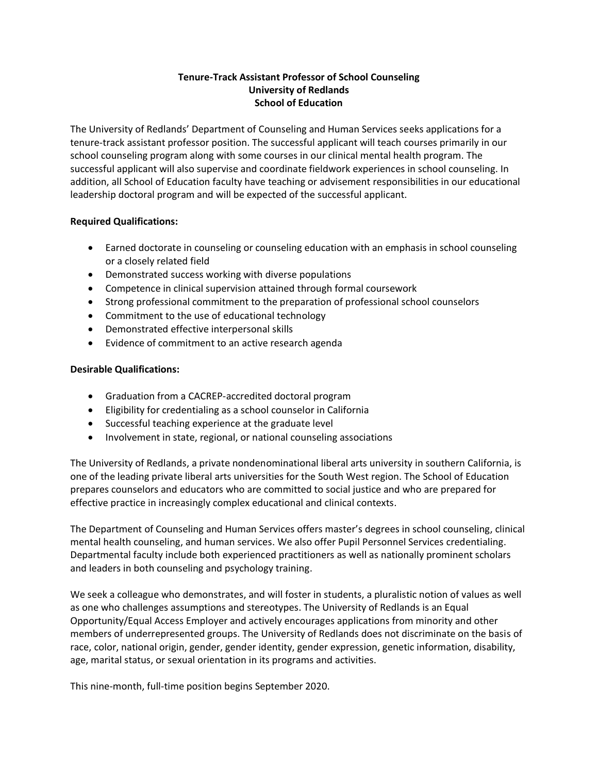## **Tenure-Track Assistant Professor of School Counseling University of Redlands School of Education**

The University of Redlands' Department of Counseling and Human Services seeks applications for a tenure-track assistant professor position. The successful applicant will teach courses primarily in our school counseling program along with some courses in our clinical mental health program. The successful applicant will also supervise and coordinate fieldwork experiences in school counseling. In addition, all School of Education faculty have teaching or advisement responsibilities in our educational leadership doctoral program and will be expected of the successful applicant.

## **Required Qualifications:**

- Earned doctorate in counseling or counseling education with an emphasis in school counseling or a closely related field
- Demonstrated success working with diverse populations
- Competence in clinical supervision attained through formal coursework
- Strong professional commitment to the preparation of professional school counselors
- Commitment to the use of educational technology
- Demonstrated effective interpersonal skills
- Evidence of commitment to an active research agenda

## **Desirable Qualifications:**

- Graduation from a CACREP-accredited doctoral program
- Eligibility for credentialing as a school counselor in California
- Successful teaching experience at the graduate level
- Involvement in state, regional, or national counseling associations

The University of Redlands, a private nondenominational liberal arts university in southern California, is one of the leading private liberal arts universities for the South West region. The School of Education prepares counselors and educators who are committed to social justice and who are prepared for effective practice in increasingly complex educational and clinical contexts.

The Department of Counseling and Human Services offers master's degrees in school counseling, clinical mental health counseling, and human services. We also offer Pupil Personnel Services credentialing. Departmental faculty include both experienced practitioners as well as nationally prominent scholars and leaders in both counseling and psychology training.

We seek a colleague who demonstrates, and will foster in students, a pluralistic notion of values as well as one who challenges assumptions and stereotypes. The University of Redlands is an Equal Opportunity/Equal Access Employer and actively encourages applications from minority and other members of underrepresented groups. The University of Redlands does not discriminate on the basis of race, color, national origin, gender, gender identity, gender expression, genetic information, disability, age, marital status, or sexual orientation in its programs and activities.

This nine-month, full-time position begins September 2020.